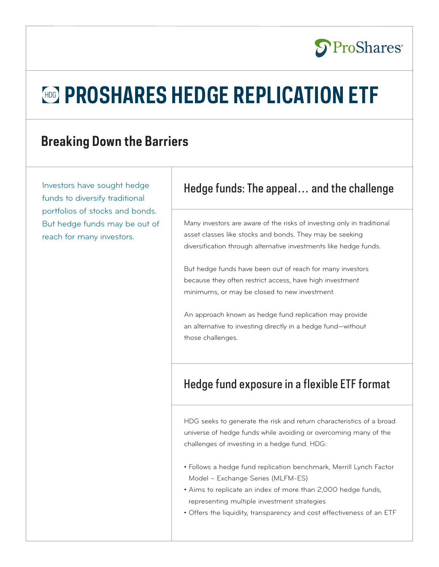# **S**ProShares®

# **HDG** PROSHARES HEDGE REPLICATION ETF

## **Breaking Down the Barriers**

Investors have sought hedge funds to diversify traditional portfolios of stocks and bonds. But hedge funds may be out of reach for many investors.

## Hedge funds: The appeal… and the challenge

Many investors are aware of the risks of investing only in traditional asset classes like stocks and bonds. They may be seeking diversification through alternative investments like hedge funds.

But hedge funds have been out of reach for many investors because they often restrict access, have high investment minimums, or may be closed to new investment.

An approach known as hedge fund replication may provide an alternative to investing directly in a hedge fund—without those challenges.

## Hedge fund exposure in a flexible ETF format

HDG seeks to generate the risk and return characteristics of a broad universe of hedge funds while avoiding or overcoming many of the challenges of investing in a hedge fund. HDG:

- Follows a hedge fund replication benchmark, Merrill Lynch Factor Model – Exchange Series (MLFM-ES)
- Aims to replicate an index of more than 2,000 hedge funds, representing multiple investment strategies
- Offers the liquidity, transparency and cost effectiveness of an ETF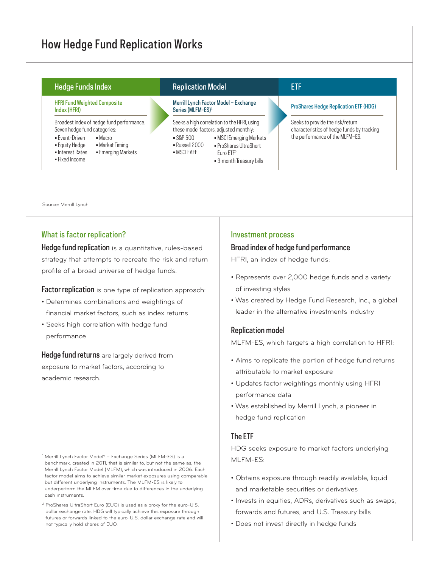## How Hedge Fund Replication Works

| <b>Hedge Funds Index</b>                                                                                                                                                                                                   |  | <b>Replication Model</b>                                                                                                                                                                                                                                       |  | ETF                                                                                                               |
|----------------------------------------------------------------------------------------------------------------------------------------------------------------------------------------------------------------------------|--|----------------------------------------------------------------------------------------------------------------------------------------------------------------------------------------------------------------------------------------------------------------|--|-------------------------------------------------------------------------------------------------------------------|
| <b>HFRI Fund Weighted Composite</b><br>Index (HFRI)                                                                                                                                                                        |  | Merrill Lynch Factor Model - Exchange<br>Series (MLFM-ES) <sup>1</sup>                                                                                                                                                                                         |  | <b>ProShares Hedge Replication ETF (HDG)</b>                                                                      |
| Broadest index of hedge fund performance.<br>Seven hedge fund categories:<br>$\blacksquare$ Fyent-Driven<br>$-Macro$<br>• Market Timing<br>• Equity Hedge<br><b>Emerging Markets</b><br>• Interest Rates<br>• Fixed Income |  | Seeks a high correlation to the HFRI, using<br>these model factors, adjusted monthly:<br>• MSCI Emerging Markets<br>$-SRP500$<br>$\blacksquare$ Russell 2000<br>• ProShares UltraShort<br>$-MSCIFAFF$<br>$F$ <sub>Uro</sub> $FTF2$<br>• 3 month Treasury bills |  | Seeks to provide the risk/return<br>characteristics of hedge funds by tracking<br>the performance of the MLFM-ES. |

Source: Merrill Lynch

#### What is factor replication?

Hedge fund replication is a quantitative, rules-based strategy that attempts to recreate the risk and return profile of a broad universe of hedge funds.

Factor replication is one type of replication approach:

- Determines combinations and weightings of financial market factors, such as index returns
- Seeks high correlation with hedge fund performance

Hedge fund returns are largely derived from exposure to market factors, according to academic research.

- <sup>1</sup> Merrill Lynch Factor Model® Exchange Series (MLFM-ES) is a benchmark, created in 2011, that is similar to, but not the same as, the Merrill Lynch Factor Model (MLFM), which was introduced in 2006. Each factor model aims to achieve similar market exposures using comparable but different underlying instruments. The MLFM-ES is likely to underperform the MLFM over time due to differences in the underlying cash instruments.
- <sup>2</sup> ProShares UltraShort Euro (EUO) is used as a proxy for the euro-U.S. dollar exchange rate. HDG will typically achieve this exposure through futures or forwards linked to the euro-U.S. dollar exchange rate and will not typically hold shares of EUO.

#### Investment process

#### Broad index of hedge fund performance

HFRI, an index of hedge funds:

- Represents over 2,000 hedge funds and a variety of investing styles
- Was created by Hedge Fund Research, Inc., a global leader in the alternative investments industry

#### Replication model

MLFM-ES, which targets a high correlation to HFRI:

- Aims to replicate the portion of hedge fund returns attributable to market exposure
- Updates factor weightings monthly using HFRI performance data
- Was established by Merrill Lynch, a pioneer in hedge fund replication

## The ETF

HDG seeks exposure to market factors underlying MLFM-ES:

- Obtains exposure through readily available, liquid and marketable securities or derivatives
- Invests in equities, ADRs, derivatives such as swaps, forwards and futures, and U.S. Treasury bills
- Does not invest directly in hedge funds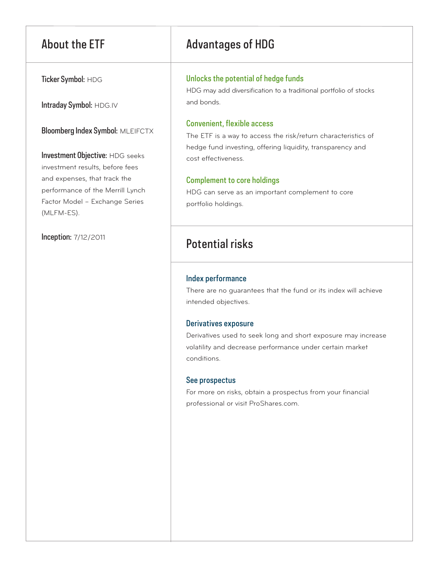Ticker Symbol: HDG

Intraday Symbol: HDG.IV

Bloomberg Index Symbol: MLEIFCTX

Investment Objective: HDG seeks investment results, before fees and expenses, that track the performance of the Merrill Lynch Factor Model – Exchange Series (MLFM-ES).

Inception: 7/12/2011

## About the ETF Advantages of HDG

## Unlocks the potential of hedge funds

HDG may add diversification to a traditional portfolio of stocks and bonds.

## Convenient, flexible access

The ETF is a way to access the risk/return characteristics of hedge fund investing, offering liquidity, transparency and cost effectiveness.

## Complement to core holdings

HDG can serve as an important complement to core portfolio holdings.

## Potential risks

## Index performance

There are no guarantees that the fund or its index will achieve intended objectives.

## Derivatives exposure

Derivatives used to seek long and short exposure may increase volatility and decrease performance under certain market conditions.

## See prospectus

For more on risks, obtain a prospectus from your financial professional or visit ProShares.com.